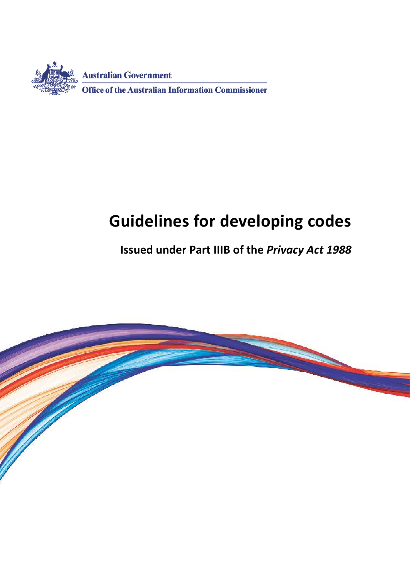

# **Guidelines for developing codes**

# **Issued under Part IIIB of the** *Privacy Act 1988*

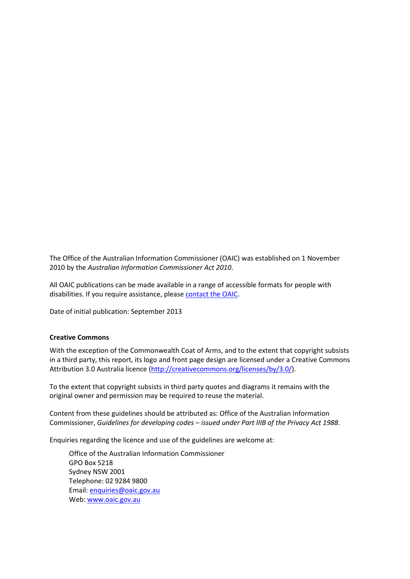The Office of the Australian Information Commissioner (OAIC) was established on 1 November 2010 by the *Australian Information Commissioner Act 2010*.

All OAIC publications can be made available in a range of accessible formats for people with disabilities. If you require assistance, pleas[e contact the OAIC.](https://www.oaic.gov.au/about-us/contact-us)

Date of initial publication: September 2013

#### **Creative Commons**

With the exception of the Commonwealth Coat of Arms, and to the extent that copyright subsists in a third party, this report, its logo and front page design are licensed under a Creative Commons Attribution 3.0 Australia licence [\(http://creativecommons.org/licenses/by/3.0/\)](http://creativecommons.org/licenses/by/3.0/).

To the extent that copyright subsists in third party quotes and diagrams it remains with the original owner and permission may be required to reuse the material.

Content from these guidelines should be attributed as: Office of the Australian Information Commissioner, *Guidelines for developing codes* – *issued under Part IIIB of the Privacy Act 1988*.

Enquiries regarding the licence and use of the guidelines are welcome at:

Office of the Australian Information Commissioner GPO Box 5218 Sydney NSW 2001 Telephone: 02 9284 9800 Email: [enquiries@oaic.gov.au](mailto:enquiries@oaic.gov.au) Web: [www.oaic.gov.au](http://www.oaic.gov.au/)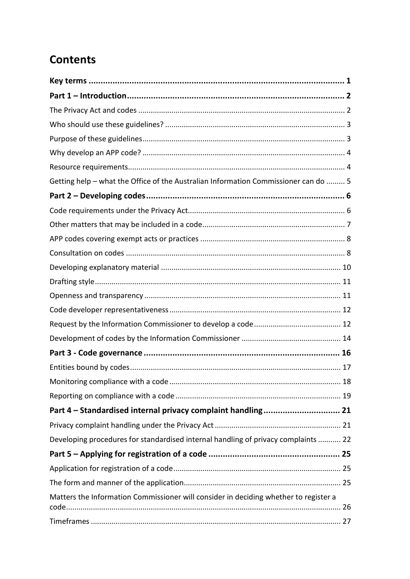# **Contents**

| Getting help - what the Office of the Australian Information Commissioner can do  5  |
|--------------------------------------------------------------------------------------|
|                                                                                      |
|                                                                                      |
|                                                                                      |
|                                                                                      |
|                                                                                      |
|                                                                                      |
|                                                                                      |
|                                                                                      |
|                                                                                      |
|                                                                                      |
|                                                                                      |
|                                                                                      |
|                                                                                      |
| 18                                                                                   |
|                                                                                      |
| Part 4 - Standardised internal privacy complaint handling 21                         |
|                                                                                      |
| Developing procedures for standardised internal handling of privacy complaints  22   |
|                                                                                      |
|                                                                                      |
|                                                                                      |
| Matters the Information Commissioner will consider in deciding whether to register a |
|                                                                                      |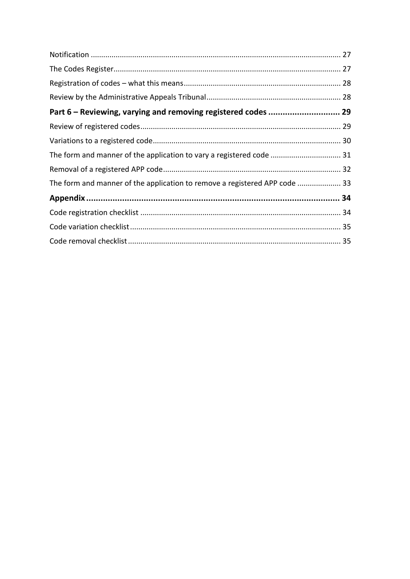| Part 6 – Reviewing, varying and removing registered codes  29              |  |
|----------------------------------------------------------------------------|--|
|                                                                            |  |
|                                                                            |  |
| The form and manner of the application to vary a registered code  31       |  |
|                                                                            |  |
| The form and manner of the application to remove a registered APP code  33 |  |
|                                                                            |  |
|                                                                            |  |
|                                                                            |  |
|                                                                            |  |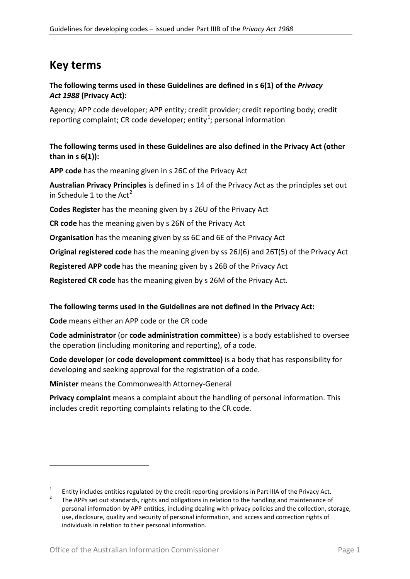# <span id="page-4-0"></span>**Key terms**

#### **The following terms used in these Guidelines are defined in s 6(1) of the** *Privacy Act 1988* **(Privacy Act):**

Agency; APP code developer; APP entity; credit provider; credit reporting body; credit reporting complaint; CR code developer; entity<sup>[1](#page-21-1)</sup>; personal information

#### **The following terms used in these Guidelines are also defined in the Privacy Act (other than in s 6(1)):**

**APP code** has the meaning given in s 26C of the Privacy Act

**Australian Privacy Principles** is defined in s 14 of the Privacy Act as the principles set out in Schedule 1 to the Act<sup>[2](#page-4-1)</sup>

**Codes Register** has the meaning given by s 26U of the Privacy Act

**CR code** has the meaning given by s 26N of the Privacy Act

**Organisation** has the meaning given by ss 6C and 6E of the Privacy Act

**Original registered code** has the meaning given by ss 26J(6) and 26T(5) of the Privacy Act

**Registered APP code** has the meaning given by s 26B of the Privacy Act

**Registered CR code** has the meaning given by s 26M of the Privacy Act.

#### **The following terms used in the Guidelines are not defined in the Privacy Act:**

**Code** means either an APP code or the CR code

**Code administrator** (or **code administration committee**) is a body established to oversee the operation (including monitoring and reporting), of a code.

**Code developer** (or **code development committee)** is a body that has responsibility for developing and seeking approval for the registration of a code.

**Minister** means the Commonwealth Attorney-General

**Privacy complaint** means a complaint about the handling of personal information. This includes credit reporting complaints relating to the CR code.

<span id="page-4-2"></span><span id="page-4-1"></span>

Entity includes entities regulated by the credit reporting provisions in Part IIIA of the Privacy Act.<br>The APPs set out standards, rights and obligations in relation to the handling and maintenance of personal information by APP entities, including dealing with privacy policies and the collection, storage, use, disclosure, quality and security of personal information, and access and correction rights of individuals in relation to their personal information.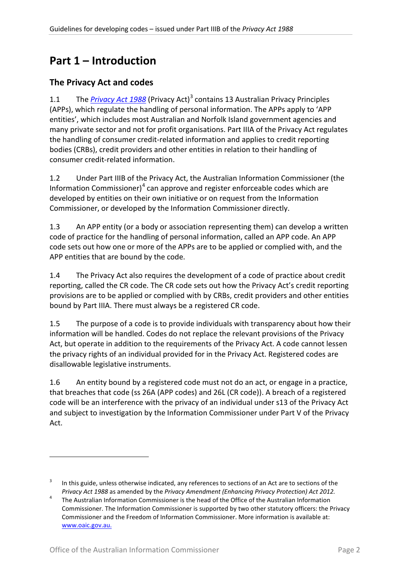# <span id="page-5-0"></span>**Part 1 – Introduction**

# <span id="page-5-1"></span>**The Privacy Act and codes**

1.1 The *[Privacy Act 1988](http://www.comlaw.gov.au/Series/C2004A03712)* (Privacy Act)[3](#page-4-2) contains 13 Australian Privacy Principles (APPs), which regulate the handling of personal information. The APPs apply to 'APP entities', which includes most Australian and Norfolk Island government agencies and many private sector and not for profit organisations. Part IIIA of the Privacy Act regulates the handling of consumer credit-related information and applies to credit reporting bodies (CRBs), credit providers and other entities in relation to their handling of consumer credit-related information.

1.2 Under Part IIIB of the Privacy Act, the Australian Information Commissioner (the Information Commissioner)<sup>[4](#page-5-2)</sup> can approve and register enforceable codes which are developed by entities on their own initiative or on request from the Information Commissioner, or developed by the Information Commissioner directly.

1.3 An APP entity (or a body or association representing them) can develop a written code of practice for the handling of personal information, called an APP code. An APP code sets out how one or more of the APPs are to be applied or complied with, and the APP entities that are bound by the code.

1.4 The Privacy Act also requires the development of a code of practice about credit reporting, called the CR code. The CR code sets out how the Privacy Act's credit reporting provisions are to be applied or complied with by CRBs, credit providers and other entities bound by Part IIIA. There must always be a registered CR code.

1.5 The purpose of a code is to provide individuals with transparency about how their information will be handled. Codes do not replace the relevant provisions of the Privacy Act, but operate in addition to the requirements of the Privacy Act. A code cannot lessen the privacy rights of an individual provided for in the Privacy Act. Registered codes are disallowable legislative instruments.

1.6 An entity bound by a registered code must not do an act, or engage in a practice, that breaches that code (ss 26A (APP codes) and 26L (CR code)). A breach of a registered code will be an interference with the privacy of an individual under s13 of the Privacy Act and subject to investigation by the Information Commissioner under Part V of the Privacy Act.

In this guide, unless otherwise indicated, any references to sections of an Act are to sections of the

<span id="page-5-3"></span><span id="page-5-2"></span>*Privacy Act 1988* as amended by the *Privacy Amendment (Enhancing Privacy Protection) Act 2012.*<br>The Australian Information Commissioner is the head of the Office of the Australian Information Commissioner. The Information Commissioner is supported by two other statutory officers: the Privacy Commissioner and the Freedom of Information Commissioner. More information is available at: [www.oaic.gov.au.](http://www.oaic.gov.au/)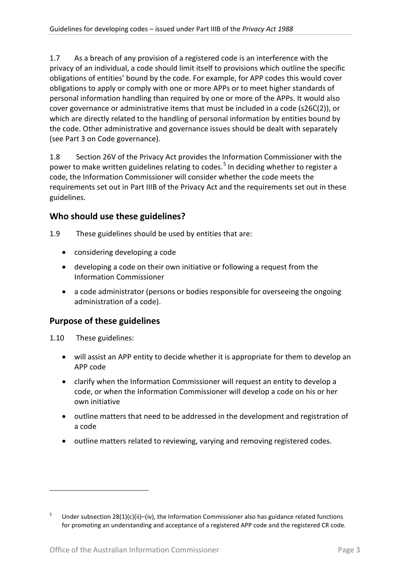1.7 As a breach of any provision of a registered code is an interference with the privacy of an individual, a code should limit itself to provisions which outline the specific obligations of entities' bound by the code. For example, for APP codes this would cover obligations to apply or comply with one or more APPs or to meet higher standards of personal information handling than required by one or more of the APPs. It would also cover governance or administrative items that must be included in a code (s26C(2)), or which are directly related to the handling of personal information by entities bound by the code. Other administrative and governance issues should be dealt with separately (see Part 3 on Code governance).

1.8 Section 26V of the Privacy Act provides the Information Commissioner with the power to make written guidelines relating to codes.<sup>[5](#page-5-3)</sup> In deciding whether to register a code, the Information Commissioner will consider whether the code meets the requirements set out in Part IIIB of the Privacy Act and the requirements set out in these guidelines.

# <span id="page-6-0"></span>**Who should use these guidelines?**

1.9 These guidelines should be used by entities that are:

- considering developing a code
- developing a code on their own initiative or following a request from the Information Commissioner
- a code administrator (persons or bodies responsible for overseeing the ongoing administration of a code).

# <span id="page-6-1"></span>**Purpose of these guidelines**

1.10 These guidelines:

1

- will assist an APP entity to decide whether it is appropriate for them to develop an APP code
- clarify when the Information Commissioner will request an entity to develop a code, or when the Information Commissioner will develop a code on his or her own initiative
- outline matters that need to be addressed in the development and registration of a code
- outline matters related to reviewing, varying and removing registered codes.

<span id="page-6-2"></span><sup>&</sup>lt;sup>5</sup> Under subsection 28(1)(c)(ii)–(iv), the Information Commissioner also has guidance related functions for promoting an understanding and acceptance of a registered APP code and the registered CR code.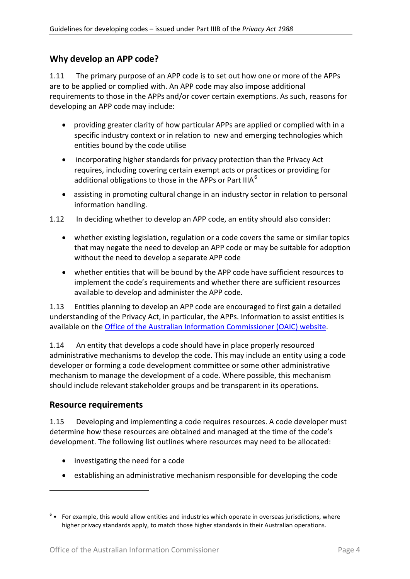# <span id="page-7-0"></span>**Why develop an APP code?**

1.11 The primary purpose of an APP code is to set out how one or more of the APPs are to be applied or complied with. An APP code may also impose additional requirements to those in the APPs and/or cover certain exemptions. As such, reasons for developing an APP code may include:

- providing greater clarity of how particular APPs are applied or complied with in a specific industry context or in relation to new and emerging technologies which entities bound by the code utilise
- incorporating higher standards for privacy protection than the Privacy Act requires, including covering certain exempt acts or practices or providing for additional obligations to those in the APPs or Part IIIA $<sup>6</sup>$  $<sup>6</sup>$  $<sup>6</sup>$ </sup>
- assisting in promoting cultural change in an industry sector in relation to personal information handling.
- 1.12 In deciding whether to develop an APP code, an entity should also consider:
	- whether existing legislation, regulation or a code covers the same or similar topics that may negate the need to develop an APP code or may be suitable for adoption without the need to develop a separate APP code
	- whether entities that will be bound by the APP code have sufficient resources to implement the code's requirements and whether there are sufficient resources available to develop and administer the APP code.

1.13 Entities planning to develop an APP code are encouraged to first gain a detailed understanding of the Privacy Act, in particular, the APPs. Information to assist entities is available on the [Office of the Australian Information Commissioner \(OAIC\) website.](http://www.oaic.gov.au/)

1.14 An entity that develops a code should have in place properly resourced administrative mechanisms to develop the code. This may include an entity using a code developer or forming a code development committee or some other administrative mechanism to manage the development of a code. Where possible, this mechanism should include relevant stakeholder groups and be transparent in its operations.

# <span id="page-7-1"></span>**Resource requirements**

1

1.15 Developing and implementing a code requires resources. A code developer must determine how these resources are obtained and managed at the time of the code's development. The following list outlines where resources may need to be allocated:

- investigating the need for a code
- establishing an administrative mechanism responsible for developing the code

<span id="page-7-2"></span> $6$  • For example, this would allow entities and industries which operate in overseas jurisdictions, where higher privacy standards apply, to match those higher standards in their Australian operations.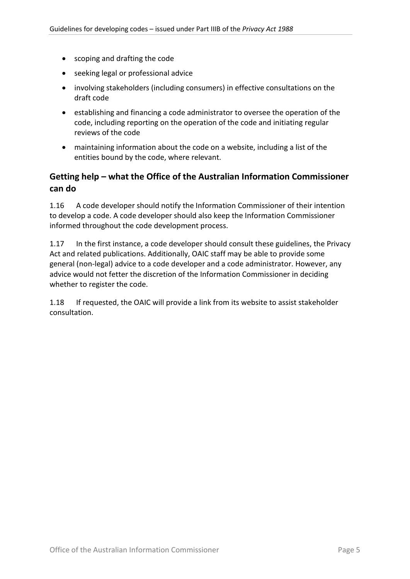- scoping and drafting the code
- seeking legal or professional advice
- involving stakeholders (including consumers) in effective consultations on the draft code
- establishing and financing a code administrator to oversee the operation of the code, including reporting on the operation of the code and initiating regular reviews of the code
- maintaining information about the code on a website, including a list of the entities bound by the code, where relevant.

# <span id="page-8-0"></span>**Getting help – what the Office of the Australian Information Commissioner can do**

1.16 A code developer should notify the Information Commissioner of their intention to develop a code. A code developer should also keep the Information Commissioner informed throughout the code development process.

1.17 In the first instance, a code developer should consult these guidelines, the Privacy Act and related publications. Additionally, OAIC staff may be able to provide some general (non-legal) advice to a code developer and a code administrator. However, any advice would not fetter the discretion of the Information Commissioner in deciding whether to register the code.

1.18 If requested, the OAIC will provide a link from its website to assist stakeholder consultation.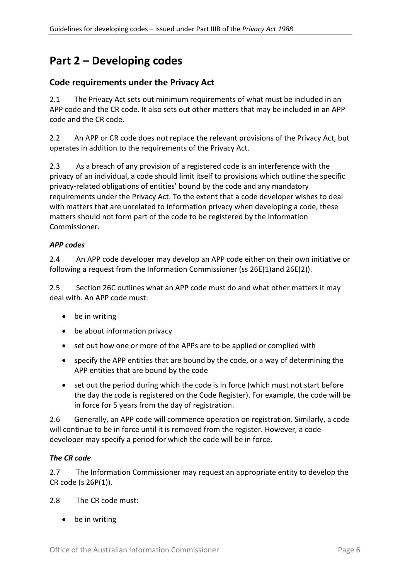# <span id="page-9-0"></span>**Part 2 – Developing codes**

# <span id="page-9-1"></span>**Code requirements under the Privacy Act**

2.1 The Privacy Act sets out minimum requirements of what must be included in an APP code and the CR code. It also sets out other matters that may be included in an APP code and the CR code.

2.2 An APP or CR code does not replace the relevant provisions of the Privacy Act, but operates in addition to the requirements of the Privacy Act.

2.3 As a breach of any provision of a registered code is an interference with the privacy of an individual, a code should limit itself to provisions which outline the specific privacy-related obligations of entities' bound by the code and any mandatory requirements under the Privacy Act. To the extent that a code developer wishes to deal with matters that are unrelated to information privacy when developing a code, these matters should not form part of the code to be registered by the Information Commissioner.

#### *APP codes*

2.4 An APP code developer may develop an APP code either on their own initiative or following a request from the Information Commissioner (ss 26E(1)and 26E(2)).

2.5 Section 26C outlines what an APP code must do and what other matters it may deal with. An APP code must:

- be in writing
- be about information privacy
- set out how one or more of the APPs are to be applied or complied with
- specify the APP entities that are bound by the code, or a way of determining the APP entities that are bound by the code
- set out the period during which the code is in force (which must not start before the day the code is registered on the Code Register). For example, the code will be in force for 5 years from the day of registration.

2.6 Generally, an APP code will commence operation on registration. Similarly, a code will continue to be in force until it is removed from the register. However, a code developer may specify a period for which the code will be in force.

#### *The CR code*

2.7 The Information Commissioner may request an appropriate entity to develop the CR code (s 26P(1)).

2.8 The CR code must:

• be in writing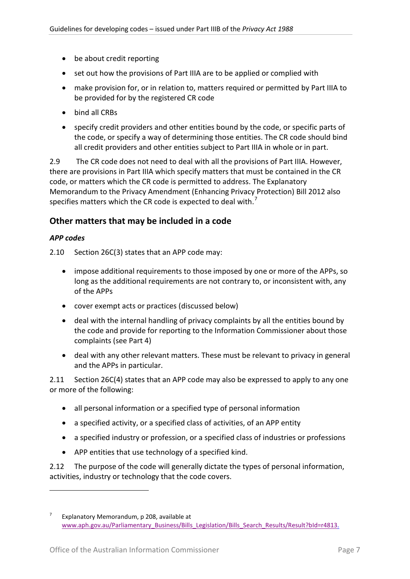- be about credit reporting
- set out how the provisions of Part IIIA are to be applied or complied with
- make provision for, or in relation to, matters required or permitted by Part IIIA to be provided for by the registered CR code
- bind all CRBs
- specify credit providers and other entities bound by the code, or specific parts of the code, or specify a way of determining those entities. The CR code should bind all credit providers and other entities subject to Part IIIA in whole or in part.

2.9 The CR code does not need to deal with all the provisions of Part IIIA. However, there are provisions in Part IIIA which specify matters that must be contained in the CR code, or matters which the CR code is permitted to address. The Explanatory Memorandum to the Privacy Amendment (Enhancing Privacy Protection) Bill 2012 also specifies matters which the CR code is expected to deal with.<sup>[7](#page-7-2)</sup>

# <span id="page-10-0"></span>**Other matters that may be included in a code**

#### *APP codes*

1

- 2.10 Section 26C(3) states that an APP code may:
	- impose additional requirements to those imposed by one or more of the APPs, so long as the additional requirements are not contrary to, or inconsistent with, any of the APPs
	- cover exempt acts or practices (discussed below)
	- deal with the internal handling of privacy complaints by all the entities bound by the code and provide for reporting to the Information Commissioner about those complaints (see Part 4)
	- deal with any other relevant matters. These must be relevant to privacy in general and the APPs in particular.

2.11 Section 26C(4) states that an APP code may also be expressed to apply to any one or more of the following:

- all personal information or a specified type of personal information
- a specified activity, or a specified class of activities, of an APP entity
- a specified industry or profession, or a specified class of industries or professions
- APP entities that use technology of a specified kind.

2.12 The purpose of the code will generally dictate the types of personal information, activities, industry or technology that the code covers.

<span id="page-10-1"></span><sup>&</sup>lt;sup>7</sup> Explanatory Memorandum, p 208, available at [www.aph.gov.au/Parliamentary\\_Business/Bills\\_Legislation/Bills\\_Search\\_Results/Result?bId=r4813.](http://www.aph.gov.au/Parliamentary_Business/Bills_Legislation/Bills_Search_Results/Result?bId=r4813)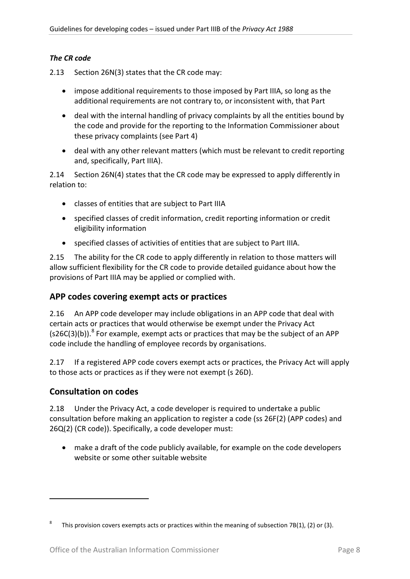#### *The CR code*

2.13 Section 26N(3) states that the CR code may:

- impose additional requirements to those imposed by Part IIIA, so long as the additional requirements are not contrary to, or inconsistent with, that Part
- deal with the internal handling of privacy complaints by all the entities bound by the code and provide for the reporting to the Information Commissioner about these privacy complaints (see Part 4)
- deal with any other relevant matters (which must be relevant to credit reporting and, specifically, Part IIIA).

2.14 Section 26N(4) states that the CR code may be expressed to apply differently in relation to:

- classes of entities that are subject to Part IIIA
- specified classes of credit information, credit reporting information or credit eligibility information
- specified classes of activities of entities that are subject to Part IIIA.

2.15 The ability for the CR code to apply differently in relation to those matters will allow sufficient flexibility for the CR code to provide detailed guidance about how the provisions of Part IIIA may be applied or complied with.

# <span id="page-11-0"></span>**APP codes covering exempt acts or practices**

2.16 An APP code developer may include obligations in an APP code that deal with certain acts or practices that would otherwise be exempt under the Privacy Act  $(s26C(3)(b)).$ <sup>[8](#page-10-1)</sup> For example, exempt acts or practices that may be the subject of an APP code include the handling of employee records by organisations.

2.17 If a registered APP code covers exempt acts or practices, the Privacy Act will apply to those acts or practices as if they were not exempt (s 26D).

#### <span id="page-11-1"></span>**Consultation on codes**

<span id="page-11-2"></span>-

<span id="page-11-3"></span>2.18 Under the Privacy Act, a code developer is required to undertake a public consultation before making an application to register a code (ss 26F(2) (APP codes) and 26Q(2) (CR code)). Specifically, a code developer must:

• make a draft of the code publicly available, for example on the code developers website or some other suitable website

<sup>8</sup> This provision covers exempts acts or practices within the meaning of subsection 7B(1), (2) or (3).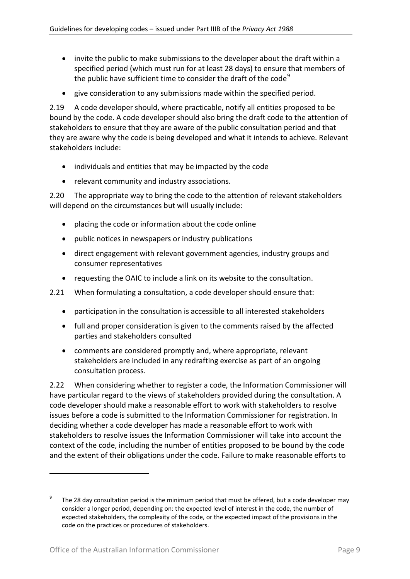- invite the public to make submissions to the developer about the draft within a specified period (which must run for at least 28 days) to ensure that members of the public have sufficient time to consider the draft of the code<sup>[9](#page-11-2)</sup>
- give consideration to any submissions made within the specified period.

2.19 A code developer should, where practicable, notify all entities proposed to be bound by the code. A code developer should also bring the draft code to the attention of stakeholders to ensure that they are aware of the public consultation period and that they are aware why the code is being developed and what it intends to achieve. Relevant stakeholders include:

- individuals and entities that may be impacted by the code
- relevant community and industry associations.

2.20 The appropriate way to bring the code to the attention of relevant stakeholders will depend on the circumstances but will usually include:

- placing the code or information about the code online
- public notices in newspapers or industry publications
- direct engagement with relevant government agencies, industry groups and consumer representatives
- requesting the OAIC to include a link on its website to the consultation.
- 2.21 When formulating a consultation, a code developer should ensure that:
	- participation in the consultation is accessible to all interested stakeholders
	- full and proper consideration is given to the comments raised by the affected parties and stakeholders consulted
	- comments are considered promptly and, where appropriate, relevant stakeholders are included in any redrafting exercise as part of an ongoing consultation process.

2.22 When considering whether to register a code, the Information Commissioner will have particular regard to the views of stakeholders provided during the consultation. A code developer should make a reasonable effort to work with stakeholders to resolve issues before a code is submitted to the Information Commissioner for registration. In deciding whether a code developer has made a reasonable effort to work with stakeholders to resolve issues the Information Commissioner will take into account the context of the code, including the number of entities proposed to be bound by the code and the extent of their obligations under the code. Failure to make reasonable efforts to

1

<span id="page-12-0"></span>The 28 day consultation period is the minimum period that must be offered, but a code developer may consider a longer period, depending on: the expected level of interest in the code, the number of expected stakeholders, the complexity of the code, or the expected impact of the provisions in the code on the practices or procedures of stakeholders.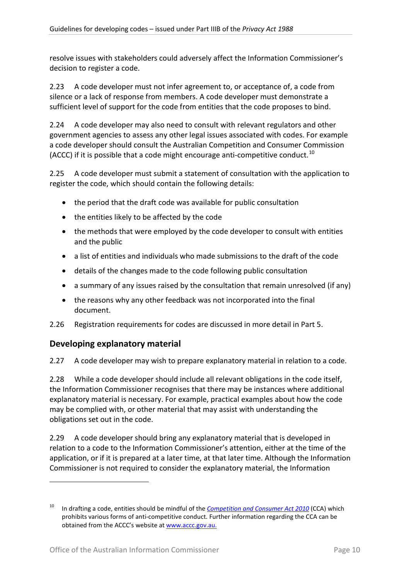resolve issues with stakeholders could adversely affect the Information Commissioner's decision to register a code.

2.23 A code developer must not infer agreement to, or acceptance of, a code from silence or a lack of response from members. A code developer must demonstrate a sufficient level of support for the code from entities that the code proposes to bind.

2.24 A code developer may also need to consult with relevant regulators and other government agencies to assess any other legal issues associated with codes. For example a code developer should consult the Australian Competition and Consumer Commission (ACCC) if it is possible that a code might encourage anti-competitive conduct.<sup>[10](#page-12-0)</sup>

<span id="page-13-3"></span>2.25 A code developer must submit a statement of consultation with the application to register the code, which should contain the following details:

- the period that the draft code was available for public consultation
- the entities likely to be affected by the code
- the methods that were employed by the code developer to consult with entities and the public
- a list of entities and individuals who made submissions to the draft of the code
- details of the changes made to the code following public consultation
- a summary of any issues raised by the consultation that remain unresolved (if any)
- the reasons why any other feedback was not incorporated into the final document.
- <span id="page-13-2"></span>2.26 Registration requirements for codes are discussed in more detail in Part 5.

# <span id="page-13-0"></span>**Developing explanatory material**

-

2.27 A code developer may wish to prepare explanatory material in relation to a code.

2.28 While a code developer should include all relevant obligations in the code itself, the Information Commissioner recognises that there may be instances where additional explanatory material is necessary. For example, practical examples about how the code may be complied with, or other material that may assist with understanding the obligations set out in the code.

2.29 A code developer should bring any explanatory material that is developed in relation to a code to the Information Commissioner's attention, either at the time of the application, or if it is prepared at a later time, at that later time. Although the Information Commissioner is not required to consider the explanatory material, the Information

<span id="page-13-1"></span><sup>10</sup> In drafting a code, entities should be mindful of the *[Competition and Consumer Act 2010](http://www.comlaw.gov.au/Series/C2004A00109)* (CCA) which prohibits various forms of anti-competitive conduct. Further information regarding the CCA can be obtained from the ACCC's website a[t www.accc.gov.au.](http://www.accc.gov.au/)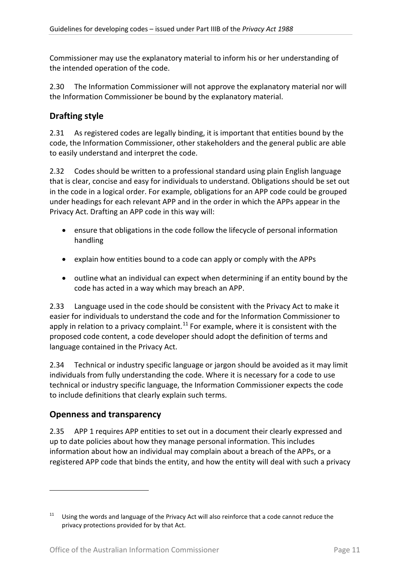Commissioner may use the explanatory material to inform his or her understanding of the intended operation of the code.

2.30 The Information Commissioner will not approve the explanatory material nor will the Information Commissioner be bound by the explanatory material.

# <span id="page-14-0"></span>**Drafting style**

<span id="page-14-3"></span>2.31 As registered codes are legally binding, it is important that entities bound by the code, the Information Commissioner, other stakeholders and the general public are able to easily understand and interpret the code.

2.32 Codes should be written to a professional standard using plain English language that is clear, concise and easy for individuals to understand. Obligations should be set out in the code in a logical order. For example, obligations for an APP code could be grouped under headings for each relevant APP and in the order in which the APPs appear in the Privacy Act. Drafting an APP code in this way will:

- ensure that obligations in the code follow the lifecycle of personal information handling
- explain how entities bound to a code can apply or comply with the APPs
- outline what an individual can expect when determining if an entity bound by the code has acted in a way which may breach an APP.

2.33 Language used in the code should be consistent with the Privacy Act to make it easier for individuals to understand the code and for the Information Commissioner to apply in relation to a privacy complaint.<sup>[11](#page-13-1)</sup> For example, where it is consistent with the proposed code content, a code developer should adopt the definition of terms and language contained in the Privacy Act.

<span id="page-14-4"></span>2.34 Technical or industry specific language or jargon should be avoided as it may limit individuals from fully understanding the code. Where it is necessary for a code to use technical or industry specific language, the Information Commissioner expects the code to include definitions that clearly explain such terms.

# <span id="page-14-1"></span>**Openness and transparency**

1

2.35 APP 1 requires APP entities to set out in a document their clearly expressed and up to date policies about how they manage personal information. This includes information about how an individual may complain about a breach of the APPs, or a registered APP code that binds the entity, and how the entity will deal with such a privacy

<span id="page-14-2"></span><sup>&</sup>lt;sup>11</sup> Using the words and language of the Privacy Act will also reinforce that a code cannot reduce the privacy protections provided for by that Act.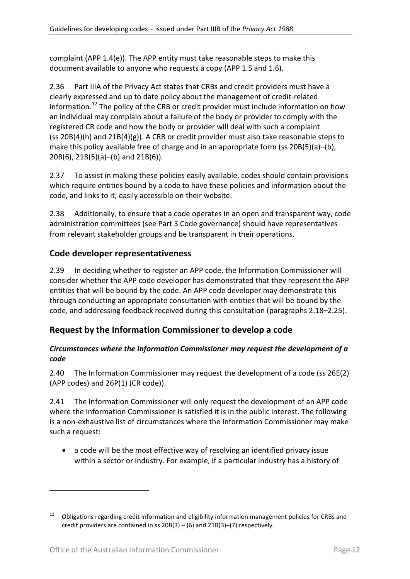complaint (APP 1.4(e)). The APP entity must take reasonable steps to make this document available to anyone who requests a copy (APP 1.5 and 1.6).

2.36 Part IIIA of the Privacy Act states that CRBs and credit providers must have a clearly expressed and up to date policy about the management of credit-related information.<sup>[12](#page-14-2)</sup> The policy of the CRB or credit provider must include information on how an individual may complain about a failure of the body or provider to comply with the registered CR code and how the body or provider will deal with such a complaint  $(s<sub>1</sub>20B(4)(h)$  and  $21B(4)(g)$ ). A CRB or credit provider must also take reasonable steps to make this policy available free of charge and in an appropriate form (ss 20B(5)(a)–(b), 20B(6), 21B(5)(a)–(b) and 21B(6)).

<span id="page-15-4"></span>2.37 To assist in making these policies easily available, codes should contain provisions which require entities bound by a code to have these policies and information about the code, and links to it, easily accessible on their website.

<span id="page-15-3"></span>2.38 Additionally, to ensure that a code operates in an open and transparent way, code administration committees (see Part 3 Code governance) should have representatives from relevant stakeholder groups and be transparent in their operations.

# <span id="page-15-0"></span>**Code developer representativeness**

2.39 In deciding whether to register an APP code, the Information Commissioner will consider whether the APP code developer has demonstrated that they represent the APP entities that will be bound by the code. An APP code developer may demonstrate this through conducting an appropriate consultation with entities that will be bound by the code, and addressing feedback received during this consultation (paragraph[s 2.18–](#page-11-3)2.25).

# <span id="page-15-1"></span>**Request by the Information Commissioner to develop a code**

#### *Circumstances where the Information Commissioner may request the development of a code*

2.40 The Information Commissioner may request the development of a code (ss 26E(2) (APP codes) and 26P(1) (CR code)).

2.41 The Information Commissioner will only request the development of an APP code where the Information Commissioner is satisfied it is in the public interest. The following is a non-exhaustive list of circumstances where the Information Commissioner may make such a request:

• a code will be the most effective way of resolving an identified privacy issue within a sector or industry. For example, if a particular industry has a history of

1

<span id="page-15-2"></span><sup>&</sup>lt;sup>12</sup> Obligations regarding credit information and eligibility information management policies for CRBs and credit providers are contained in ss 20B(3) – (6) and 21B(3)–(7) respectively.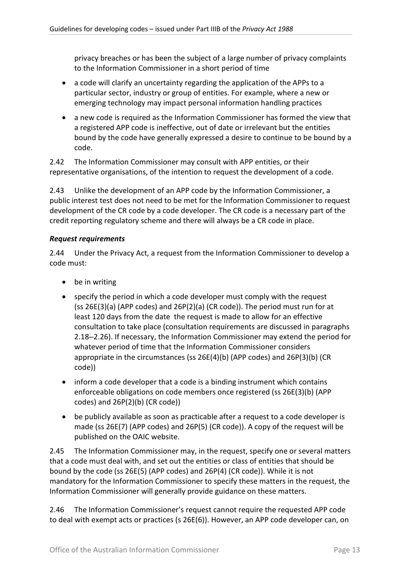privacy breaches or has been the subject of a large number of privacy complaints to the Information Commissioner in a short period of time

- a code will clarify an uncertainty regarding the application of the APPs to a particular sector, industry or group of entities. For example, where a new or emerging technology may impact personal information handling practices
- a new code is required as the Information Commissioner has formed the view that a registered APP code is ineffective, out of date or irrelevant but the entities bound by the code have generally expressed a desire to continue to be bound by a code.

2.42 The Information Commissioner may consult with APP entities, or their representative organisations, of the intention to request the development of a code.

2.43 Unlike the development of an APP code by the Information Commissioner, a public interest test does not need to be met for the Information Commissioner to request development of the CR code by a code developer. The CR code is a necessary part of the credit reporting regulatory scheme and there will always be a CR code in place.

#### *Request requirements*

2.44 Under the Privacy Act, a request from the Information Commissioner to develop a code must:

- be in writing
- specify the period in which a code developer must comply with the request (ss 26E(3)(a) (APP codes) and 26P(2)(a) (CR code)). The period must run for at least 120 days from the date the request is made to allow for an effective consultation to take place (consultation requirements are discussed in paragraphs [2.18](#page-11-3)–2.26). If necessary, the Information Commissioner may extend the period for whatever period of time that the Information Commissioner considers appropriate in the circumstances (ss 26E(4)(b) (APP codes) and 26P(3)(b) (CR code))
- inform a code developer that a code is a binding instrument which contains enforceable obligations on code members once registered (ss 26E(3)(b) (APP codes) and 26P(2)(b) (CR code))
- be publicly available as soon as practicable after a request to a code developer is made (ss 26E(7) (APP codes) and 26P(5) (CR code)). A copy of the request will be published on the OAIC website.

2.45 The Information Commissioner may, in the request, specify one or several matters that a code must deal with, and set out the entities or class of entities that should be bound by the code (ss 26E(5) (APP codes) and 26P(4) (CR code)). While it is not mandatory for the Information Commissioner to specify these matters in the request, the Information Commissioner will generally provide guidance on these matters.

2.46 The Information Commissioner's request cannot require the requested APP code to deal with exempt acts or practices (s 26E(6)). However, an APP code developer can, on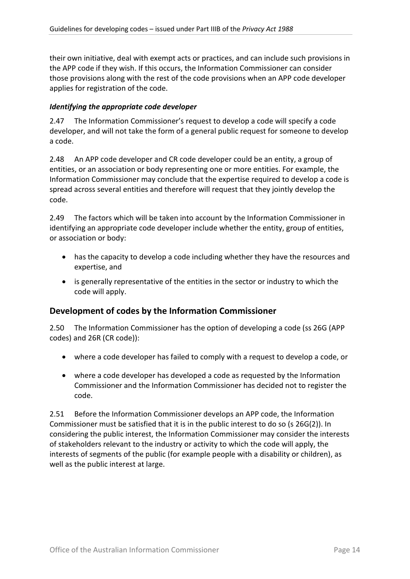their own initiative, deal with exempt acts or practices, and can include such provisions in the APP code if they wish. If this occurs, the Information Commissioner can consider those provisions along with the rest of the code provisions when an APP code developer applies for registration of the code.

#### *Identifying the appropriate code developer*

2.47 The Information Commissioner's request to develop a code will specify a code developer, and will not take the form of a general public request for someone to develop a code.

2.48 An APP code developer and CR code developer could be an entity, a group of entities, or an association or body representing one or more entities. For example, the Information Commissioner may conclude that the expertise required to develop a code is spread across several entities and therefore will request that they jointly develop the code.

2.49 The factors which will be taken into account by the Information Commissioner in identifying an appropriate code developer include whether the entity, group of entities, or association or body:

- has the capacity to develop a code including whether they have the resources and expertise, and
- is generally representative of the entities in the sector or industry to which the code will apply.

#### <span id="page-17-0"></span>**Development of codes by the Information Commissioner**

2.50 The Information Commissioner has the option of developing a code (ss 26G (APP codes) and 26R (CR code)):

- where a code developer has failed to comply with a request to develop a code, or
- where a code developer has developed a code as requested by the Information Commissioner and the Information Commissioner has decided not to register the code.

2.51 Before the Information Commissioner develops an APP code, the Information Commissioner must be satisfied that it is in the public interest to do so (s 26G(2)). In considering the public interest, the Information Commissioner may consider the interests of stakeholders relevant to the industry or activity to which the code will apply, the interests of segments of the public (for example people with a disability or children), as well as the public interest at large.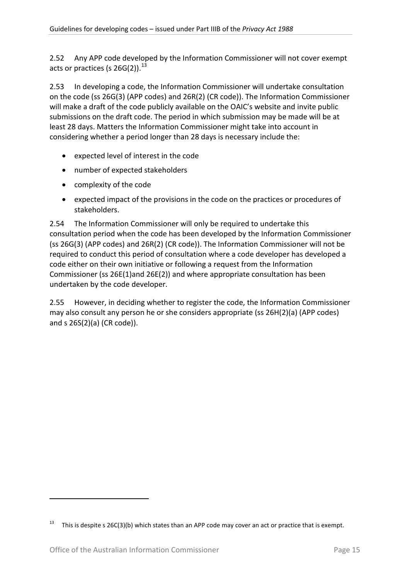2.52 Any APP code developed by the Information Commissioner will not cover exempt acts or practices (s  $26G(2)$ ).<sup>[13](#page-15-2)</sup>

2.53 In developing a code, the Information Commissioner will undertake consultation on the code (ss 26G(3) (APP codes) and 26R(2) (CR code)). The Information Commissioner will make a draft of the code publicly available on the OAIC's website and invite public submissions on the draft code. The period in which submission may be made will be at least 28 days. Matters the Information Commissioner might take into account in considering whether a period longer than 28 days is necessary include the:

- expected level of interest in the code
- number of expected stakeholders
- complexity of the code
- expected impact of the provisions in the code on the practices or procedures of stakeholders.

2.54 The Information Commissioner will only be required to undertake this consultation period when the code has been developed by the Information Commissioner (ss 26G(3) (APP codes) and 26R(2) (CR code)). The Information Commissioner will not be required to conduct this period of consultation where a code developer has developed a code either on their own initiative or following a request from the Information Commissioner (ss 26E(1)and 26E(2)) and where appropriate consultation has been undertaken by the code developer.

2.55 However, in deciding whether to register the code, the Information Commissioner may also consult any person he or she considers appropriate (ss 26H(2)(a) (APP codes) and s 26S(2)(a) (CR code)).

<span id="page-18-0"></span><sup>&</sup>lt;sup>13</sup> This is despite s 26C(3)(b) which states than an APP code may cover an act or practice that is exempt.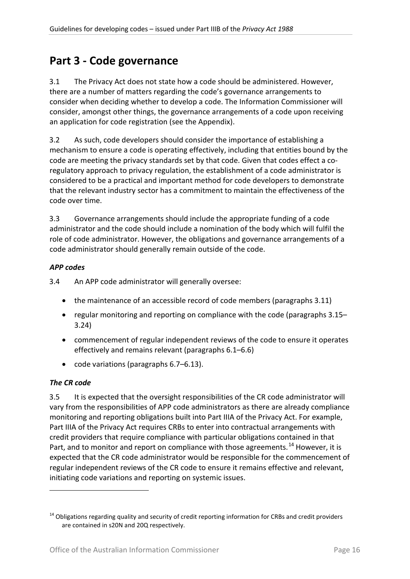# <span id="page-19-0"></span>**Part 3 - Code governance**

3.1 The Privacy Act does not state how a code should be administered. However, there are a number of matters regarding the code's governance arrangements to consider when deciding whether to develop a code. The Information Commissioner will consider, amongst other things, the governance arrangements of a code upon receiving an application for code registration (see the Appendix).

3.2 As such, code developers should consider the importance of establishing a mechanism to ensure a code is operating effectively, including that entities bound by the code are meeting the privacy standards set by that code. Given that codes effect a coregulatory approach to privacy regulation, the establishment of a code administrator is considered to be a practical and important method for code developers to demonstrate that the relevant industry sector has a commitment to maintain the effectiveness of the code over time.

3.3 Governance arrangements should include the appropriate funding of a code administrator and the code should include a nomination of the body which will fulfil the role of code administrator. However, the obligations and governance arrangements of a code administrator should generally remain outside of the code.

#### *APP codes*

3.4 An APP code administrator will generally oversee:

- the maintenance of an accessible record of code members (paragraphs 3.11)
- regular monitoring and reporting on compliance with the code (paragraphs 3.15– 3.24)
- commencement of regular independent reviews of the code to ensure it operates effectively and remains relevant (paragraph[s 6.1–](#page-32-2)[6.6\)](#page-33-1)
- code variations (paragraphs [6.7](#page-33-2)[–6.13\)](#page-33-3).

#### *The CR code*

<span id="page-19-1"></span>1

3.5 It is expected that the oversight responsibilities of the CR code administrator will vary from the responsibilities of APP code administrators as there are already compliance monitoring and reporting obligations built into Part IIIA of the Privacy Act. For example, Part IIIA of the Privacy Act requires CRBs to enter into contractual arrangements with credit providers that require compliance with particular obligations contained in that Part, and to monitor and report on compliance with those agreements.<sup>[14](#page-18-0)</sup> However, it is expected that the CR code administrator would be responsible for the commencement of regular independent reviews of the CR code to ensure it remains effective and relevant, initiating code variations and reporting on systemic issues.

<sup>&</sup>lt;sup>14</sup> Obligations regarding quality and security of credit reporting information for CRBs and credit providers are contained in s20N and 20Q respectively.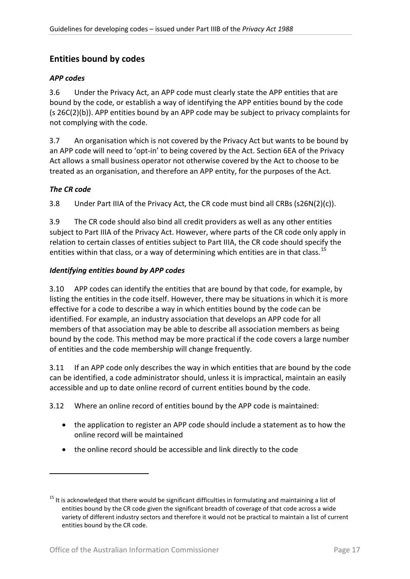# <span id="page-20-0"></span>**Entities bound by codes**

#### *APP codes*

3.6 Under the Privacy Act, an APP code must clearly state the APP entities that are bound by the code, or establish a way of identifying the APP entities bound by the code (s 26C(2)(b)). APP entities bound by an APP code may be subject to privacy complaints for not complying with the code.

3.7 An organisation which is not covered by the Privacy Act but wants to be bound by an APP code will need to 'opt-in' to being covered by the Act. Section 6EA of the Privacy Act allows a small business operator not otherwise covered by the Act to choose to be treated as an organisation, and therefore an APP entity, for the purposes of the Act.

#### *The CR code*

1

3.8 Under Part IIIA of the Privacy Act, the CR code must bind all CRBs (s26N(2)(c)).

3.9 The CR code should also bind all credit providers as well as any other entities subject to Part IIIA of the Privacy Act. However, where parts of the CR code only apply in relation to certain classes of entities subject to Part IIIA, the CR code should specify the entities within that class, or a way of determining which entities are in that class.<sup>[15](#page-19-1)</sup>

#### *Identifying entities bound by APP codes*

3.10 APP codes can identify the entities that are bound by that code, for example, by listing the entities in the code itself. However, there may be situations in which it is more effective for a code to describe a way in which entities bound by the code can be identified. For example, an industry association that develops an APP code for all members of that association may be able to describe all association members as being bound by the code. This method may be more practical if the code covers a large number of entities and the code membership will change frequently.

3.11 If an APP code only describes the way in which entities that are bound by the code can be identified, a code administrator should, unless it is impractical, maintain an easily accessible and up to date online record of current entities bound by the code.

3.12 Where an online record of entities bound by the APP code is maintained:

- the application to register an APP code should include a statement as to how the online record will be maintained
- the online record should be accessible and link directly to the code

<span id="page-20-1"></span> $15$  It is acknowledged that there would be significant difficulties in formulating and maintaining a list of entities bound by the CR code given the significant breadth of coverage of that code across a wide variety of different industry sectors and therefore it would not be practical to maintain a list of current entities bound by the CR code.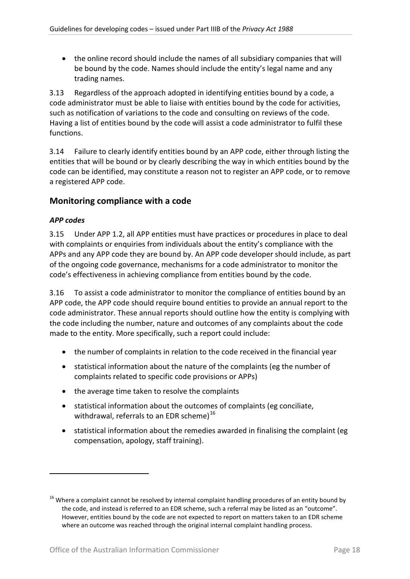• the online record should include the names of all subsidiary companies that will be bound by the code. Names should include the entity's legal name and any trading names.

3.13 Regardless of the approach adopted in identifying entities bound by a code, a code administrator must be able to liaise with entities bound by the code for activities, such as notification of variations to the code and consulting on reviews of the code. Having a list of entities bound by the code will assist a code administrator to fulfil these functions.

<span id="page-21-4"></span>3.14 Failure to clearly identify entities bound by an APP code, either through listing the entities that will be bound or by clearly describing the way in which entities bound by the code can be identified, may constitute a reason not to register an APP code, or to remove a registered APP code.

# <span id="page-21-0"></span>**Monitoring compliance with a code**

#### *APP codes*

<span id="page-21-2"></span>1

<span id="page-21-3"></span>3.15 Under APP 1.2, all APP entities must have practices or procedures in place to deal with complaints or enquiries from individuals about the entity's compliance with the APPs and any APP code they are bound by. An APP code developer should include, as part of the ongoing code governance, mechanisms for a code administrator to monitor the code's effectiveness in achieving compliance from entities bound by the code.

3.16 To assist a code administrator to monitor the compliance of entities bound by an APP code, the APP code should require bound entities to provide an annual report to the code administrator. These annual reports should outline how the entity is complying with the code including the number, nature and outcomes of any complaints about the code made to the entity. More specifically, such a report could include:

- the number of complaints in relation to the code received in the financial year
- statistical information about the nature of the complaints (eg the number of complaints related to specific code provisions or APPs)
- the average time taken to resolve the complaints
- statistical information about the outcomes of complaints (eg conciliate, withdrawal, referrals to an EDR scheme)<sup>[16](#page-20-1)</sup>
- statistical information about the remedies awarded in finalising the complaint (eg compensation, apology, staff training).

<span id="page-21-1"></span> $16$  Where a complaint cannot be resolved by internal complaint handling procedures of an entity bound by the code, and instead is referred to an EDR scheme, such a referral may be listed as an "outcome". However, entities bound by the code are not expected to report on matters taken to an EDR scheme where an outcome was reached through the original internal complaint handling process.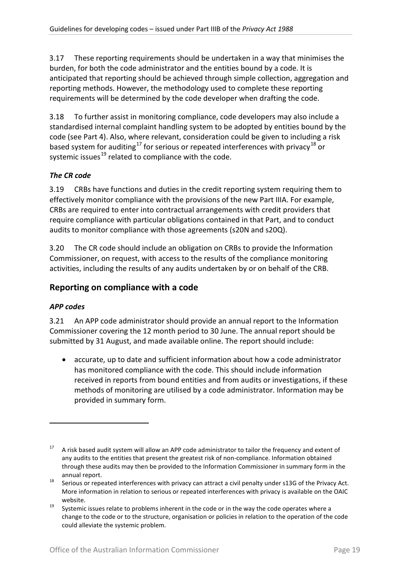3.17 These reporting requirements should be undertaken in a way that minimises the burden, for both the code administrator and the entities bound by a code. It is anticipated that reporting should be achieved through simple collection, aggregation and reporting methods. However, the methodology used to complete these reporting requirements will be determined by the code developer when drafting the code.

3.18 To further assist in monitoring compliance, code developers may also include a standardised internal complaint handling system to be adopted by entities bound by the code (see Part 4). Also, where relevant, consideration could be given to including a risk based system for auditing<sup>[17](#page-21-2)</sup> for serious or repeated interferences with privacy<sup>[18](#page-22-1)</sup> or systemic issues<sup>[19](#page-22-2)</sup> related to compliance with the code.

#### *The CR code*

3.19 CRBs have functions and duties in the credit reporting system requiring them to effectively monitor compliance with the provisions of the new Part IIIA. For example, CRBs are required to enter into contractual arrangements with credit providers that require compliance with particular obligations contained in that Part, and to conduct audits to monitor compliance with those agreements (s20N and s20Q).

3.20 The CR code should include an obligation on CRBs to provide the Information Commissioner, on request, with access to the results of the compliance monitoring activities, including the results of any audits undertaken by or on behalf of the CRB.

# <span id="page-22-0"></span>**Reporting on compliance with a code**

#### *APP codes*

-

3.21 An APP code administrator should provide an annual report to the Information Commissioner covering the 12 month period to 30 June. The annual report should be submitted by 31 August, and made available online. The report should include:

<span id="page-22-4"></span>• accurate, up to date and sufficient information about how a code administrator has monitored compliance with the code. This should include information received in reports from bound entities and from audits or investigations, if these methods of monitoring are utilised by a code administrator. Information may be provided in summary form.

 $17$  A risk based audit system will allow an APP code administrator to tailor the frequency and extent of any audits to the entities that present the greatest risk of non-compliance. Information obtained through these audits may then be provided to the Information Commissioner in summary form in the

<span id="page-22-1"></span>annual report.<br><sup>18</sup> Serious or repeated interferences with privacy can attract a civil penalty under s13G of the Privacy Act. More information in relation to serious or repeated interferences with privacy is available on the OAIC

<span id="page-22-3"></span><span id="page-22-2"></span>website.<br><sup>19</sup> Systemic issues relate to problems inherent in the code or in the way the code operates where a change to the code or to the structure, organisation or policies in relation to the operation of the code could alleviate the systemic problem.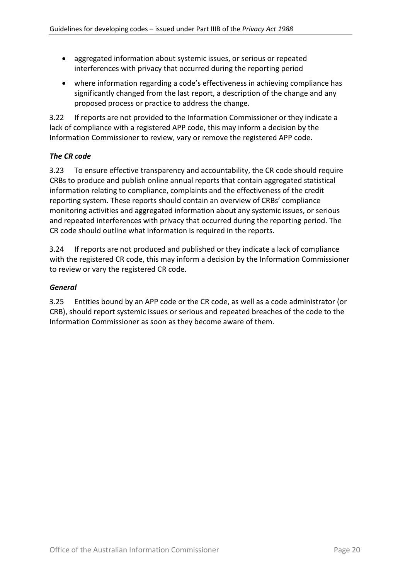- aggregated information about systemic issues, or serious or repeated interferences with privacy that occurred during the reporting period
- where information regarding a code's effectiveness in achieving compliance has significantly changed from the last report, a description of the change and any proposed process or practice to address the change.

3.22 If reports are not provided to the Information Commissioner or they indicate a lack of compliance with a registered APP code, this may inform a decision by the Information Commissioner to review, vary or remove the registered APP code.

#### *The CR code*

3.23 To ensure effective transparency and accountability, the CR code should require CRBs to produce and publish online annual reports that contain aggregated statistical information relating to compliance, complaints and the effectiveness of the credit reporting system. These reports should contain an overview of CRBs' compliance monitoring activities and aggregated information about any systemic issues, or serious and repeated interferences with privacy that occurred during the reporting period. The CR code should outline what information is required in the reports.

3.24 If reports are not produced and published or they indicate a lack of compliance with the registered CR code, this may inform a decision by the Information Commissioner to review or vary the registered CR code.

#### *General*

3.25 Entities bound by an APP code or the CR code, as well as a code administrator (or CRB), should report systemic issues or serious and repeated breaches of the code to the Information Commissioner as soon as they become aware of them.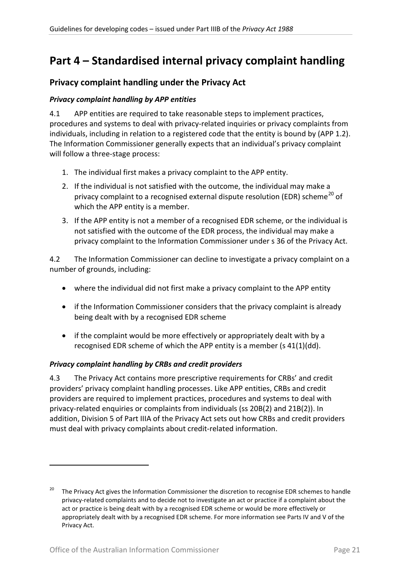# <span id="page-24-0"></span>**Part 4 – Standardised internal privacy complaint handling**

# <span id="page-24-1"></span>**Privacy complaint handling under the Privacy Act**

#### *Privacy complaint handling by APP entities*

4.1 APP entities are required to take reasonable steps to implement practices, procedures and systems to deal with privacy-related inquiries or privacy complaints from individuals, including in relation to a registered code that the entity is bound by (APP 1.2). The Information Commissioner generally expects that an individual's privacy complaint will follow a three-stage process:

- 1. The individual first makes a privacy complaint to the APP entity.
- 2. If the individual is not satisfied with the outcome, the individual may make a privacy complaint to a recognised external dispute resolution (EDR) scheme<sup>[20](#page-22-3)</sup> of which the APP entity is a member.
- 3. If the APP entity is not a member of a recognised EDR scheme, or the individual is not satisfied with the outcome of the EDR process, the individual may make a privacy complaint to the Information Commissioner under s 36 of the Privacy Act.

4.2 The Information Commissioner can decline to investigate a privacy complaint on a number of grounds, including:

- where the individual did not first make a privacy complaint to the APP entity
- if the Information Commissioner considers that the privacy complaint is already being dealt with by a recognised EDR scheme
- if the complaint would be more effectively or appropriately dealt with by a recognised EDR scheme of which the APP entity is a member (s 41(1)(dd).

#### *Privacy complaint handling by CRBs and credit providers*

4.3 The Privacy Act contains more prescriptive requirements for CRBs' and credit providers' privacy complaint handling processes. Like APP entities, CRBs and credit providers are required to implement practices, procedures and systems to deal with privacy-related enquiries or complaints from individuals (ss 20B(2) and 21B(2)). In addition, Division 5 of Part IIIA of the Privacy Act sets out how CRBs and credit providers must deal with privacy complaints about credit-related information.

<span id="page-24-2"></span><sup>&</sup>lt;sup>20</sup> The Privacy Act gives the Information Commissioner the discretion to recognise EDR schemes to handle privacy-related complaints and to decide not to investigate an act or practice if a complaint about the act or practice is being dealt with by a recognised EDR scheme or would be more effectively or appropriately dealt with by a recognised EDR scheme. For more information see Parts IV and V of the Privacy Act.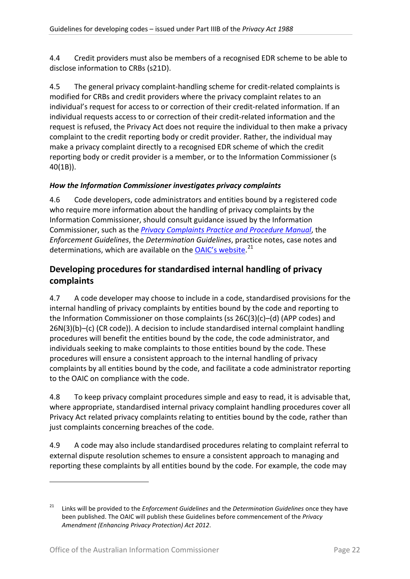4.4 Credit providers must also be members of a recognised EDR scheme to be able to disclose information to CRBs (s21D).

4.5 The general privacy complaint-handling scheme for credit-related complaints is modified for CRBs and credit providers where the privacy complaint relates to an individual's request for access to or correction of their credit-related information. If an individual requests access to or correction of their credit-related information and the request is refused, the Privacy Act does not require the individual to then make a privacy complaint to the credit reporting body or credit provider. Rather, the individual may make a privacy complaint directly to a recognised EDR scheme of which the credit reporting body or credit provider is a member, or to the Information Commissioner (s 40(1B)).

#### *How the Information Commissioner investigates privacy complaints*

4.6 Code developers, code administrators and entities bound by a registered code who require more information about the handling of privacy complaints by the Information Commissioner, should consult guidance issued by the Information Commissioner, such as the *[Privacy Complaints Practice and Procedure Manual](http://webarchive.nla.gov.au/gov/20130904083657/https://www.oaic.gov.au/about-us/corporate-information/privacy-operational/privacy-complaints-practice-and-procedure-manual)*, the *Enforcement Guidelines*, the *Determination Guidelines*, practice notes, case notes and determinations, which are available on the **OAIC's website.**<sup>[21](#page-24-2)</sup>

# <span id="page-25-0"></span>**Developing procedures for standardised internal handling of privacy complaints**

4.7 A code developer may choose to include in a code, standardised provisions for the internal handling of privacy complaints by entities bound by the code and reporting to the Information Commissioner on those complaints (ss 26C(3)(c)–(d) (APP codes) and 26N(3)(b)–(c) (CR code)). A decision to include standardised internal complaint handling procedures will benefit the entities bound by the code, the code administrator, and individuals seeking to make complaints to those entities bound by the code. These procedures will ensure a consistent approach to the internal handling of privacy complaints by all entities bound by the code, and facilitate a code administrator reporting to the OAIC on compliance with the code.

4.8 To keep privacy complaint procedures simple and easy to read, it is advisable that, where appropriate, standardised internal privacy complaint handling procedures cover all Privacy Act related privacy complaints relating to entities bound by the code, rather than just complaints concerning breaches of the code.

4.9 A code may also include standardised procedures relating to complaint referral to external dispute resolution schemes to ensure a consistent approach to managing and reporting these complaints by all entities bound by the code. For example, the code may

<span id="page-25-1"></span><sup>21</sup> Links will be provided to the *Enforcement Guidelines* and the *Determination Guidelines* once they have been published. The OAIC will publish these Guidelines before commencement of the *Privacy Amendment (Enhancing Privacy Protection) Act 2012*.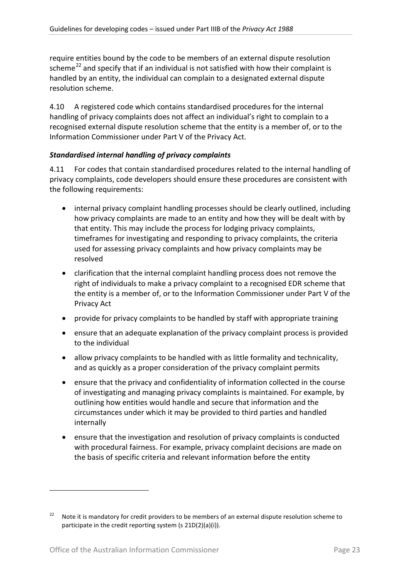require entities bound by the code to be members of an external dispute resolution scheme<sup>[22](#page-25-1)</sup> and specify that if an individual is not satisfied with how their complaint is handled by an entity, the individual can complain to a designated external dispute resolution scheme.

4.10 A registered code which contains standardised procedures for the internal handling of privacy complaints does not affect an individual's right to complain to a recognised external dispute resolution scheme that the entity is a member of, or to the Information Commissioner under Part V of the Privacy Act.

#### *Standardised internal handling of privacy complaints*

4.11 For codes that contain standardised procedures related to the internal handling of privacy complaints, code developers should ensure these procedures are consistent with the following requirements:

- internal privacy complaint handling processes should be clearly outlined, including how privacy complaints are made to an entity and how they will be dealt with by that entity. This may include the process for lodging privacy complaints, timeframes for investigating and responding to privacy complaints, the criteria used for assessing privacy complaints and how privacy complaints may be resolved
- clarification that the internal complaint handling process does not remove the right of individuals to make a privacy complaint to a recognised EDR scheme that the entity is a member of, or to the Information Commissioner under Part V of the Privacy Act
- provide for privacy complaints to be handled by staff with appropriate training
- ensure that an adequate explanation of the privacy complaint process is provided to the individual
- allow privacy complaints to be handled with as little formality and technicality, and as quickly as a proper consideration of the privacy complaint permits
- ensure that the privacy and confidentiality of information collected in the course of investigating and managing privacy complaints is maintained. For example, by outlining how entities would handle and secure that information and the circumstances under which it may be provided to third parties and handled internally
- ensure that the investigation and resolution of privacy complaints is conducted with procedural fairness. For example, privacy complaint decisions are made on the basis of specific criteria and relevant information before the entity

1

<span id="page-26-0"></span><sup>&</sup>lt;sup>22</sup> Note it is mandatory for credit providers to be members of an external dispute resolution scheme to participate in the credit reporting system (s 21D(2)(a)(i)).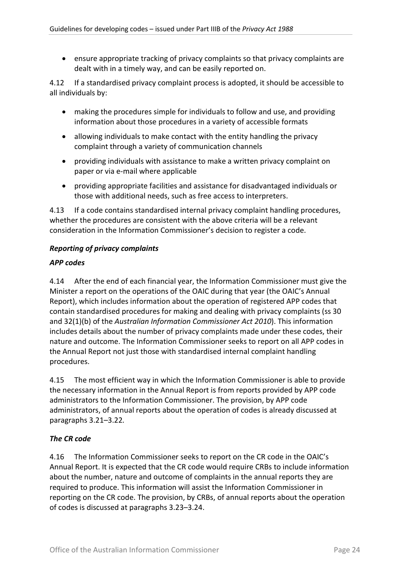• ensure appropriate tracking of privacy complaints so that privacy complaints are dealt with in a timely way, and can be easily reported on.

4.12 If a standardised privacy complaint process is adopted, it should be accessible to all individuals by:

- making the procedures simple for individuals to follow and use, and providing information about those procedures in a variety of accessible formats
- allowing individuals to make contact with the entity handling the privacy complaint through a variety of communication channels
- providing individuals with assistance to make a written privacy complaint on paper or via e-mail where applicable
- providing appropriate facilities and assistance for disadvantaged individuals or those with additional needs, such as free access to interpreters.

4.13 If a code contains standardised internal privacy complaint handling procedures, whether the procedures are consistent with the above criteria will be a relevant consideration in the Information Commissioner's decision to register a code.

#### *Reporting of privacy complaints*

#### *APP codes*

4.14 After the end of each financial year, the Information Commissioner must give the Minister a report on the operations of the OAIC during that year (the OAIC's Annual Report), which includes information about the operation of registered APP codes that contain standardised procedures for making and dealing with privacy complaints (ss 30 and 32(1)(b) of the *Australian Information Commissioner Act 2010*). This information includes details about the number of privacy complaints made under these codes, their nature and outcome. The Information Commissioner seeks to report on all APP codes in the Annual Report not just those with standardised internal complaint handling procedures.

4.15 The most efficient way in which the Information Commissioner is able to provide the necessary information in the Annual Report is from reports provided by APP code administrators to the Information Commissioner. The provision, by APP code administrators, of annual reports about the operation of codes is already discussed at paragraphs [3.21–](#page-22-4)3.22*.*

#### *The CR code*

4.16 The Information Commissioner seeks to report on the CR code in the OAIC's Annual Report. It is expected that the CR code would require CRBs to include information about the number, nature and outcome of complaints in the annual reports they are required to produce. This information will assist the Information Commissioner in reporting on the CR code. The provision, by CRBs, of annual reports about the operation of codes is discussed at paragraphs 3.23–3.24.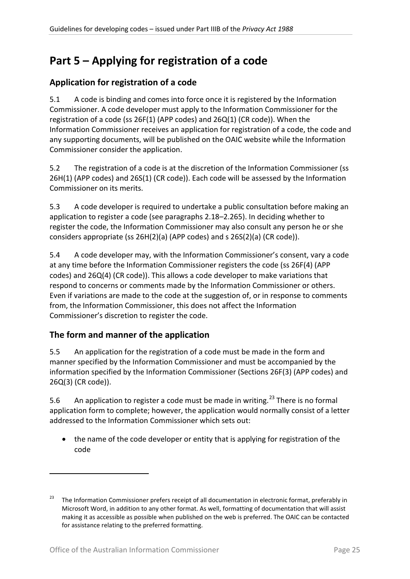# <span id="page-28-0"></span>**Part 5 – Applying for registration of a code**

# <span id="page-28-1"></span>**Application for registration of a code**

5.1 A code is binding and comes into force once it is registered by the Information Commissioner. A code developer must apply to the Information Commissioner for the registration of a code (ss 26F(1) (APP codes) and 26Q(1) (CR code)). When the Information Commissioner receives an application for registration of a code, the code and any supporting documents, will be published on the OAIC website while the Information Commissioner consider the application.

5.2 The registration of a code is at the discretion of the Information Commissioner (ss 26H(1) (APP codes) and 26S(1) (CR code)). Each code will be assessed by the Information Commissioner on its merits.

5.3 A code developer is required to undertake a public consultation before making an application to register a code (see paragraphs [2.18](#page-11-3)[–2.265](#page-13-2)). In deciding whether to register the code, the Information Commissioner may also consult any person he or she considers appropriate (ss 26H(2)(a) (APP codes) and s 26S(2)(a) (CR code)).

5.4 A code developer may, with the Information Commissioner's consent, vary a code at any time before the Information Commissioner registers the code (ss 26F(4) (APP codes) and 26Q(4) (CR code)). This allows a code developer to make variations that respond to concerns or comments made by the Information Commissioner or others. Even if variations are made to the code at the suggestion of, or in response to comments from, the Information Commissioner, this does not affect the Information Commissioner's discretion to register the code.

# <span id="page-28-2"></span>**The form and manner of the application**

5.5 An application for the registration of a code must be made in the form and manner specified by the Information Commissioner and must be accompanied by the information specified by the Information Commissioner (Sections 26F(3) (APP codes) and 26Q(3) (CR code)).

5.6 An application to register a code must be made in writing.<sup>[23](#page-26-0)</sup> There is no formal application form to complete; however, the application would normally consist of a letter addressed to the Information Commissioner which sets out:

<span id="page-28-4"></span>• the name of the code developer or entity that is applying for registration of the code

1

<span id="page-28-3"></span><sup>&</sup>lt;sup>23</sup> The Information Commissioner prefers receipt of all documentation in electronic format, preferably in Microsoft Word, in addition to any other format. As well, formatting of documentation that will assist making it as accessible as possible when published on the web is preferred. The OAIC can be contacted for assistance relating to the preferred formatting.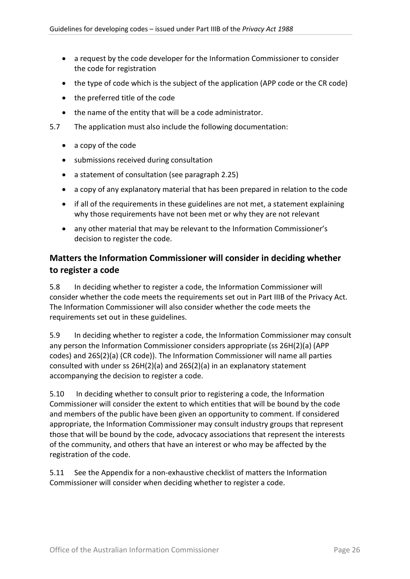- a request by the code developer for the Information Commissioner to consider the code for registration
- the type of code which is the subject of the application (APP code or the CR code)
- the preferred title of the code
- the name of the entity that will be a code administrator.
- 5.7 The application must also include the following documentation:
	- a copy of the code
	- submissions received during consultation
	- a statement of consultation (see paragraph [2.25\)](#page-13-3)
	- a copy of any explanatory material that has been prepared in relation to the code
	- if all of the requirements in these guidelines are not met, a statement explaining why those requirements have not been met or why they are not relevant
	- any other material that may be relevant to the Information Commissioner's decision to register the code.

# <span id="page-29-0"></span>**Matters the Information Commissioner will consider in deciding whether to register a code**

5.8 In deciding whether to register a code, the Information Commissioner will consider whether the code meets the requirements set out in Part IIIB of the Privacy Act. The Information Commissioner will also consider whether the code meets the requirements set out in these guidelines.

<span id="page-29-1"></span>5.9 In deciding whether to register a code, the Information Commissioner may consult any person the Information Commissioner considers appropriate (ss 26H(2)(a) (APP codes) and 26S(2)(a) (CR code)). The Information Commissioner will name all parties consulted with under ss 26H(2)(a) and 26S(2)(a) in an explanatory statement accompanying the decision to register a code.

<span id="page-29-2"></span>5.10 In deciding whether to consult prior to registering a code, the Information Commissioner will consider the extent to which entities that will be bound by the code and members of the public have been given an opportunity to comment. If considered appropriate, the Information Commissioner may consult industry groups that represent those that will be bound by the code, advocacy associations that represent the interests of the community, and others that have an interest or who may be affected by the registration of the code.

5.11 See the Appendix for a non-exhaustive checklist of matters the Information Commissioner will consider when deciding whether to register a code.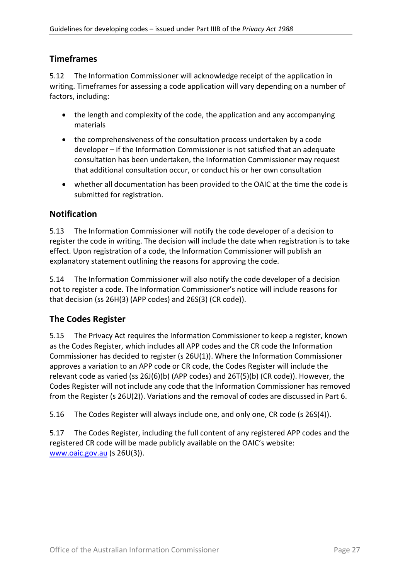# <span id="page-30-0"></span>**Timeframes**

5.12 The Information Commissioner will acknowledge receipt of the application in writing. Timeframes for assessing a code application will vary depending on a number of factors, including:

- the length and complexity of the code, the application and any accompanying materials
- the comprehensiveness of the consultation process undertaken by a code developer – if the Information Commissioner is not satisfied that an adequate consultation has been undertaken, the Information Commissioner may request that additional consultation occur, or conduct his or her own consultation
- whether all documentation has been provided to the OAIC at the time the code is submitted for registration.

# <span id="page-30-1"></span>**Notification**

5.13 The Information Commissioner will notify the code developer of a decision to register the code in writing. The decision will include the date when registration is to take effect. Upon registration of a code, the Information Commissioner will publish an explanatory statement outlining the reasons for approving the code.

5.14 The Information Commissioner will also notify the code developer of a decision not to register a code. The Information Commissioner's notice will include reasons for that decision (ss 26H(3) (APP codes) and 26S(3) (CR code)).

# <span id="page-30-2"></span>**The Codes Register**

5.15 The Privacy Act requires the Information Commissioner to keep a register, known as the Codes Register, which includes all APP codes and the CR code the Information Commissioner has decided to register (s 26U(1)). Where the Information Commissioner approves a variation to an APP code or CR code, the Codes Register will include the relevant code as varied (ss 26J(6)(b) (APP codes) and 26T(5)(b) (CR code)). However, the Codes Register will not include any code that the Information Commissioner has removed from the Register (s 26U(2)). Variations and the removal of codes are discussed in Part 6.

5.16 The Codes Register will always include one, and only one, CR code (s 26S(4)).

5.17 The Codes Register, including the full content of any registered APP codes and the registered CR code will be made publicly available on the OAIC's website: [www.oaic.gov.au](http://www.oaic.gov.au/) (s 26U(3)).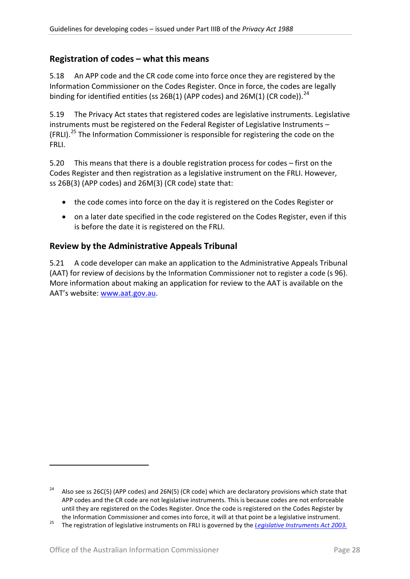# <span id="page-31-0"></span>**Registration of codes – what this means**

5.18 An APP code and the CR code come into force once they are registered by the Information Commissioner on the Codes Register. Once in force, the codes are legally binding for identified entities (ss 26B(1) (APP codes) and 26M(1) (CR code)).<sup>[24](#page-28-3)</sup>

5.19 The Privacy Act states that registered codes are legislative instruments. Legislative instruments must be registered on the Federal Register of Legislative Instruments – (FRLI).[25](#page-31-2) The Information Commissioner is responsible for registering the code on the FRLI.

5.20 This means that there is a double registration process for codes – first on the Codes Register and then registration as a legislative instrument on the FRLI. However, ss 26B(3) (APP codes) and 26M(3) (CR code) state that:

- the code comes into force on the day it is registered on the Codes Register or
- on a later date specified in the code registered on the Codes Register, even if this is before the date it is registered on the FRLI.

# <span id="page-31-1"></span>**Review by the Administrative Appeals Tribunal**

5.21 A code developer can make an application to the Administrative Appeals Tribunal (AAT) for review of decisions by the Information Commissioner not to register a code (s 96). More information about making an application for review to the AAT is available on the AAT's website: [www.aat.gov.au.](http://www.aat.gov.au/)

<sup>&</sup>lt;sup>24</sup> Also see ss 26C(5) (APP codes) and 26N(5) (CR code) which are declaratory provisions which state that APP codes and the CR code are not legislative instruments. This is because codes are not enforceable until they are registered on the Codes Register. Once the code is registered on the Codes Register by

<span id="page-31-2"></span>the Information Commissioner and comes into force, it will at that point be a legislative instrument.<br>The registration of legislative instruments on FRLI is governed by the *Legislative Instruments Act 2003*.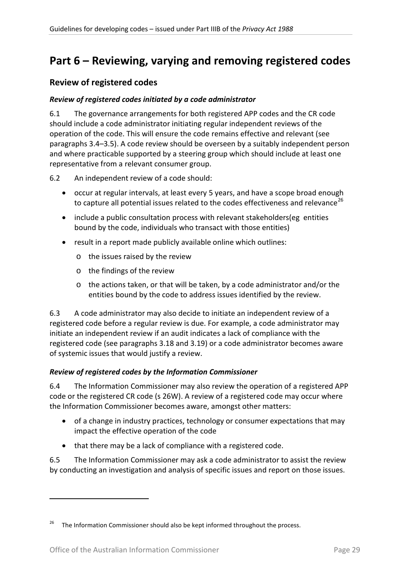# <span id="page-32-0"></span>**Part 6 – Reviewing, varying and removing registered codes**

### <span id="page-32-1"></span>**Review of registered codes**

#### *Review of registered codes initiated by a code administrator*

<span id="page-32-2"></span>6.1 The governance arrangements for both registered APP codes and the CR code should include a code administrator initiating regular independent reviews of the operation of the code. This will ensure the code remains effective and relevant (see paragraphs 3.4–3.5). A code review should be overseen by a suitably independent person and where practicable supported by a steering group which should include at least one representative from a relevant consumer group.

6.2 An independent review of a code should:

- occur at regular intervals, at least every 5 years, and have a scope broad enough to capture all potential issues related to the codes effectiveness and relevance<sup>[26](#page-31-2)</sup>
- include a public consultation process with relevant stakeholders(eg entities bound by the code, individuals who transact with those entities)
- result in a report made publicly available online which outlines:
	- o the issues raised by the review
	- o the findings of the review
	- o the actions taken, or that will be taken, by a code administrator and/or the entities bound by the code to address issues identified by the review.

6.3 A code administrator may also decide to initiate an independent review of a registered code before a regular review is due. For example, a code administrator may initiate an independent review if an audit indicates a lack of compliance with the registered code (see paragraphs 3.18 and 3.19) or a code administrator becomes aware of systemic issues that would justify a review.

#### *Review of registered codes by the Information Commissioner*

6.4 The Information Commissioner may also review the operation of a registered APP code or the registered CR code (s 26W). A review of a registered code may occur where the Information Commissioner becomes aware, amongst other matters:

- of a change in industry practices, technology or consumer expectations that may impact the effective operation of the code
- that there may be a lack of compliance with a registered code.

<span id="page-32-3"></span>6.5 The Information Commissioner may ask a code administrator to assist the review by conducting an investigation and analysis of specific issues and report on those issues.

 $26$  The Information Commissioner should also be kept informed throughout the process.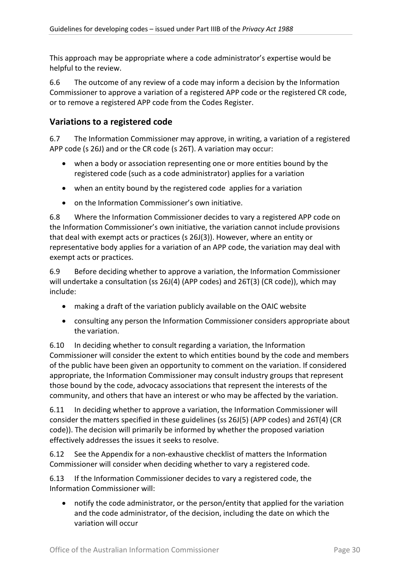This approach may be appropriate where a code administrator's expertise would be helpful to the review.

<span id="page-33-1"></span>6.6 The outcome of any review of a code may inform a decision by the Information Commissioner to approve a variation of a registered APP code or the registered CR code, or to remove a registered APP code from the Codes Register.

# <span id="page-33-0"></span>**Variations to a registered code**

<span id="page-33-2"></span>6.7 The Information Commissioner may approve, in writing, a variation of a registered APP code (s 26J) and or the CR code (s 26T). A variation may occur:

- when a body or association representing one or more entities bound by the registered code (such as a code administrator) applies for a variation
- when an entity bound by the registered code applies for a variation
- on the Information Commissioner's own initiative.

6.8 Where the Information Commissioner decides to vary a registered APP code on the Information Commissioner's own initiative, the variation cannot include provisions that deal with exempt acts or practices (s 26J(3)). However, where an entity or representative body applies for a variation of an APP code, the variation may deal with exempt acts or practices.

6.9 Before deciding whether to approve a variation, the Information Commissioner will undertake a consultation (ss 26J(4) (APP codes) and 26T(3) (CR code)), which may include:

- making a draft of the variation publicly available on the OAIC website
- consulting any person the Information Commissioner considers appropriate about the variation.

<span id="page-33-5"></span>6.10 In deciding whether to consult regarding a variation, the Information Commissioner will consider the extent to which entities bound by the code and members of the public have been given an opportunity to comment on the variation. If considered appropriate, the Information Commissioner may consult industry groups that represent those bound by the code, advocacy associations that represent the interests of the community, and others that have an interest or who may be affected by the variation.

<span id="page-33-4"></span>6.11 In deciding whether to approve a variation, the Information Commissioner will consider the matters specified in these guidelines (ss 26J(5) (APP codes) and 26T(4) (CR code)). The decision will primarily be informed by whether the proposed variation effectively addresses the issues it seeks to resolve.

6.12 See the Appendix for a non-exhaustive checklist of matters the Information Commissioner will consider when deciding whether to vary a registered code.

<span id="page-33-3"></span>6.13 If the Information Commissioner decides to vary a registered code, the Information Commissioner will:

• notify the code administrator, or the person/entity that applied for the variation and the code administrator, of the decision, including the date on which the variation will occur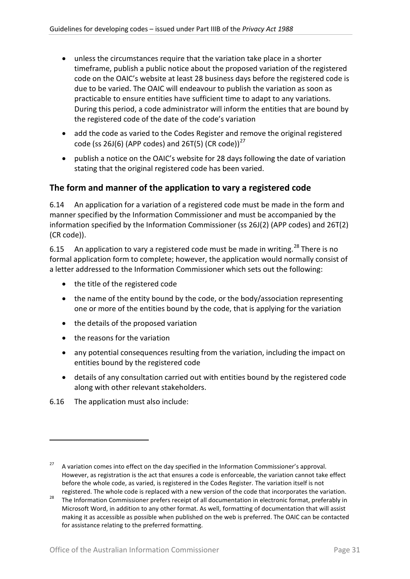- unless the circumstances require that the variation take place in a shorter timeframe, publish a public notice about the proposed variation of the registered code on the OAIC's website at least 28 business days before the registered code is due to be varied. The OAIC will endeavour to publish the variation as soon as practicable to ensure entities have sufficient time to adapt to any variations. During this period, a code administrator will inform the entities that are bound by the registered code of the date of the code's variation
- add the code as varied to the Codes Register and remove the original registered code (ss 26J(6) (APP codes) and 26T(5) (CR code))<sup>[27](#page-32-3)</sup>
- publish a notice on the OAIC's website for 28 days following the date of variation stating that the original registered code has been varied.

# <span id="page-34-0"></span>**The form and manner of the application to vary a registered code**

6.14 An application for a variation of a registered code must be made in the form and manner specified by the Information Commissioner and must be accompanied by the information specified by the Information Commissioner (ss 26J(2) (APP codes) and 26T(2) (CR code)).

<span id="page-34-3"></span>6.15 An application to vary a registered code must be made in writing.<sup>[28](#page-34-1)</sup> There is no formal application form to complete; however, the application would normally consist of a letter addressed to the Information Commissioner which sets out the following:

- the title of the registered code
- the name of the entity bound by the code, or the body/association representing one or more of the entities bound by the code, that is applying for the variation
- the details of the proposed variation
- the reasons for the variation
- any potential consequences resulting from the variation, including the impact on entities bound by the registered code
- details of any consultation carried out with entities bound by the registered code along with other relevant stakeholders.
- 6.16 The application must also include:

<sup>&</sup>lt;sup>27</sup> A variation comes into effect on the day specified in the Information Commissioner's approval. However, as registration is the act that ensures a code is enforceable, the variation cannot take effect before the whole code, as varied, is registered in the Codes Register. The variation itself is not

<span id="page-34-2"></span><span id="page-34-1"></span>registered. The whole code is replaced with a new version of the code that incorporates the variation.<br><sup>28</sup> The Information Commissioner prefers receipt of all documentation in electronic format, preferably in Microsoft Word, in addition to any other format. As well, formatting of documentation that will assist making it as accessible as possible when published on the web is preferred. The OAIC can be contacted for assistance relating to the preferred formatting.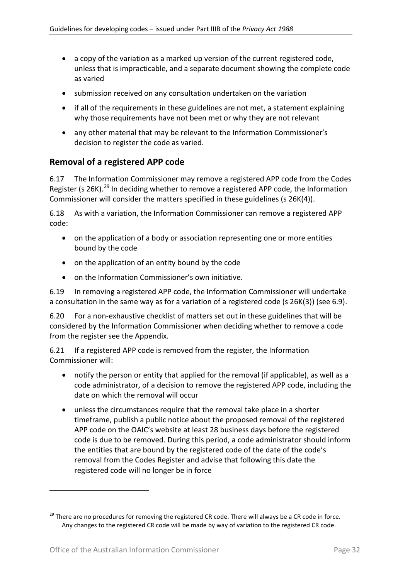- a copy of the variation as a marked up version of the current registered code, unless that is impracticable, and a separate document showing the complete code as varied
- submission received on any consultation undertaken on the variation
- if all of the requirements in these guidelines are not met, a statement explaining why those requirements have not been met or why they are not relevant
- any other material that may be relevant to the Information Commissioner's decision to register the code as varied.

#### <span id="page-35-0"></span>**Removal of a registered APP code**

6.17 The Information Commissioner may remove a registered APP code from the Codes Register (s 26K).<sup>[29](#page-34-2)</sup> In deciding whether to remove a registered APP code, the Information Commissioner will consider the matters specified in these guidelines (s 26K(4)).

6.18 As with a variation, the Information Commissioner can remove a registered APP code:

- on the application of a body or association representing one or more entities bound by the code
- on the application of an entity bound by the code
- on the Information Commissioner's own initiative.

6.19 In removing a registered APP code, the Information Commissioner will undertake a consultation in the same way as for a variation of a registered code (s 26K(3)) (see 6.9).

6.20 For a non-exhaustive checklist of matters set out in these guidelines that will be considered by the Information Commissioner when deciding whether to remove a code from the register see the Appendix.

6.21 If a registered APP code is removed from the register, the Information Commissioner will:

- notify the person or entity that applied for the removal (if applicable), as well as a code administrator, of a decision to remove the registered APP code, including the date on which the removal will occur
- unless the circumstances require that the removal take place in a shorter timeframe, publish a public notice about the proposed removal of the registered APP code on the OAIC's website at least 28 business days before the registered code is due to be removed. During this period, a code administrator should inform the entities that are bound by the registered code of the date of the code's removal from the Codes Register and advise that following this date the registered code will no longer be in force

<span id="page-35-1"></span>1

<sup>&</sup>lt;sup>29</sup> There are no procedures for removing the registered CR code. There will always be a CR code in force. Any changes to the registered CR code will be made by way of variation to the registered CR code.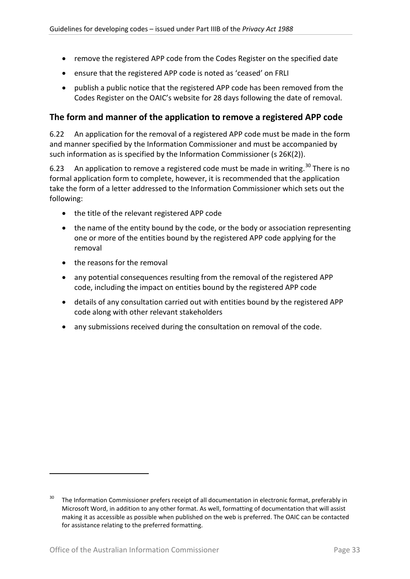- remove the registered APP code from the Codes Register on the specified date
- ensure that the registered APP code is noted as 'ceased' on FRLI
- publish a public notice that the registered APP code has been removed from the Codes Register on the OAIC's website for 28 days following the date of removal.

### <span id="page-36-0"></span>**The form and manner of the application to remove a registered APP code**

6.22 An application for the removal of a registered APP code must be made in the form and manner specified by the Information Commissioner and must be accompanied by such information as is specified by the Information Commissioner (s 26K(2)).

<span id="page-36-1"></span>6.23 An application to remove a registered code must be made in writing.<sup>[30](#page-35-1)</sup> There is no formal application form to complete, however, it is recommended that the application take the form of a letter addressed to the Information Commissioner which sets out the following:

- the title of the relevant registered APP code
- the name of the entity bound by the code, or the body or association representing one or more of the entities bound by the registered APP code applying for the removal
- the reasons for the removal
- any potential consequences resulting from the removal of the registered APP code, including the impact on entities bound by the registered APP code
- details of any consultation carried out with entities bound by the registered APP code along with other relevant stakeholders
- any submissions received during the consultation on removal of the code.

1

The Information Commissioner prefers receipt of all documentation in electronic format, preferably in Microsoft Word, in addition to any other format. As well, formatting of documentation that will assist making it as accessible as possible when published on the web is preferred. The OAIC can be contacted for assistance relating to the preferred formatting.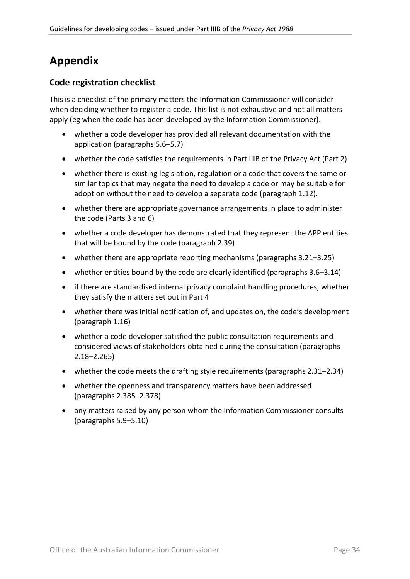# <span id="page-37-0"></span>**Appendix**

# <span id="page-37-1"></span>**Code registration checklist**

This is a checklist of the primary matters the Information Commissioner will consider when deciding whether to register a code. This list is not exhaustive and not all matters apply (eg when the code has been developed by the Information Commissioner).

- whether a code developer has provided all relevant documentation with the application (paragraphs [5.6–](#page-28-4)5.7)
- whether the code satisfies the requirements in Part IIIB of the Privacy Act (Part 2)
- whether there is existing legislation, regulation or a code that covers the same or similar topics that may negate the need to develop a code or may be suitable for adoption without the need to develop a separate code (paragraph 1.12).
- whether there are appropriate governance arrangements in place to administer the code (Parts 3 and 6)
- whether a code developer has demonstrated that they represent the APP entities that will be bound by the code (paragraph 2.39)
- whether there are appropriate reporting mechanisms (paragraphs [3.21–](#page-22-4)3.25)
- whether entities bound by the code are clearly identified (paragraphs 3.6–3.14)
- if there are standardised internal privacy complaint handling procedures, whether they satisfy the matters set out in Part 4
- whether there was initial notification of, and updates on, the code's development (paragraph 1.16)
- whether a code developer satisfied the public consultation requirements and considered views of stakeholders obtained during the consultation (paragraphs [2.18–](#page-11-3)[2.265](#page-13-2))
- whether the code meets the drafting style requirements (paragraphs [2.31–](#page-14-3)[2.34\)](#page-14-4)
- whether the openness and transparency matters have been addressed (paragraphs [2.385](#page-15-3)[–2.378](#page-15-4))
- <span id="page-37-2"></span>• any matters raised by any person whom the Information Commissioner consults (paragraphs [5.9–](#page-29-1)[5.10\)](#page-29-2)